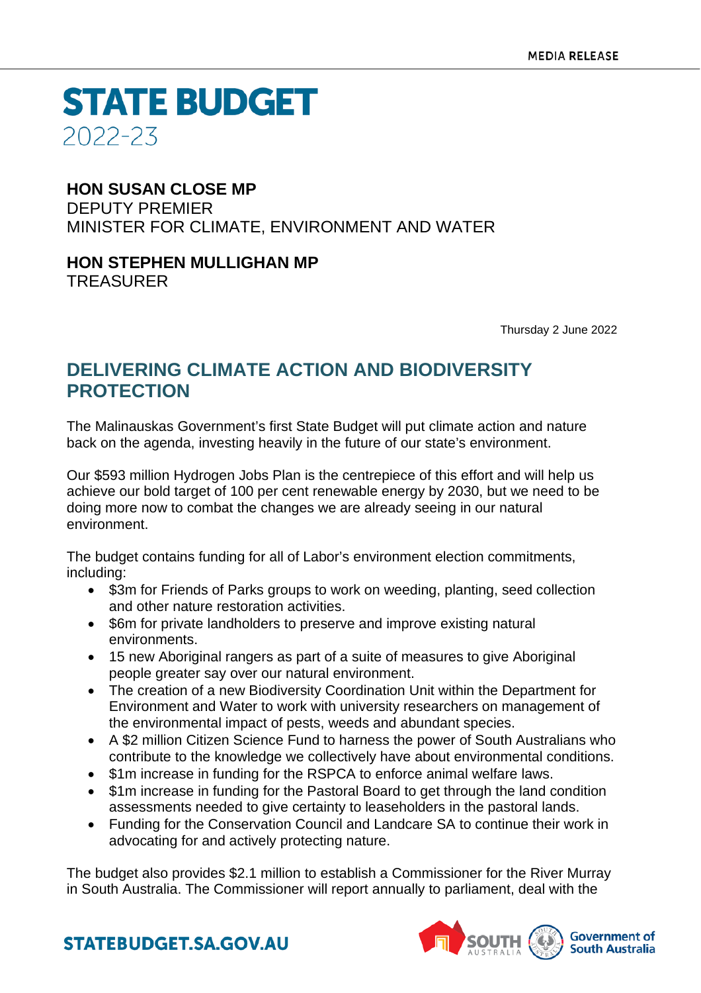**STATE BUDGET** 2022-23

### **HON SUSAN CLOSE MP**

DEPUTY PREMIER MINISTER FOR CLIMATE, ENVIRONMENT AND WATER

## **HON STEPHEN MULLIGHAN MP**

TREASURER

Thursday 2 June 2022

### **DELIVERING CLIMATE ACTION AND BIODIVERSITY PROTECTION**

The Malinauskas Government's first State Budget will put climate action and nature back on the agenda, investing heavily in the future of our state's environment.

Our \$593 million Hydrogen Jobs Plan is the centrepiece of this effort and will help us achieve our bold target of 100 per cent renewable energy by 2030, but we need to be doing more now to combat the changes we are already seeing in our natural environment.

The budget contains funding for all of Labor's environment election commitments, including:

- \$3m for Friends of Parks groups to work on weeding, planting, seed collection and other nature restoration activities.
- \$6m for private landholders to preserve and improve existing natural environments.
- 15 new Aboriginal rangers as part of a suite of measures to give Aboriginal people greater say over our natural environment.
- The creation of a new Biodiversity Coordination Unit within the Department for Environment and Water to work with university researchers on management of the environmental impact of pests, weeds and abundant species.
- A \$2 million Citizen Science Fund to harness the power of South Australians who contribute to the knowledge we collectively have about environmental conditions.
- \$1m increase in funding for the RSPCA to enforce animal welfare laws.
- \$1m increase in funding for the Pastoral Board to get through the land condition assessments needed to give certainty to leaseholders in the pastoral lands.
- Funding for the Conservation Council and Landcare SA to continue their work in advocating for and actively protecting nature.

The budget also provides \$2.1 million to establish a Commissioner for the River Murray in South Australia. The Commissioner will report annually to parliament, deal with the